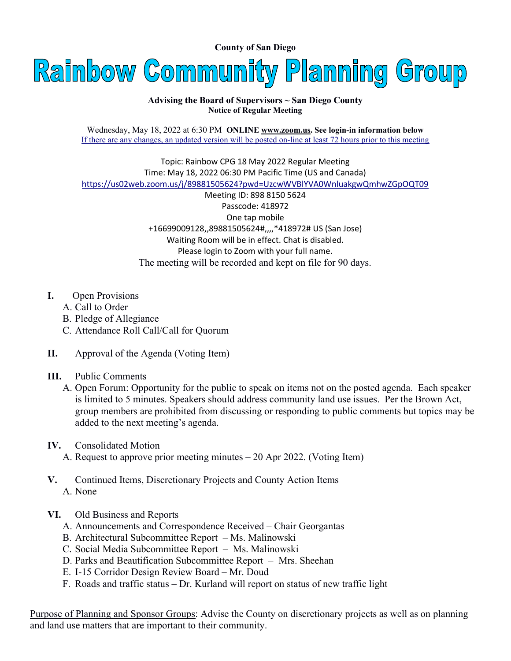County of San Diego



## Advising the Board of Supervisors ~ San Diego County Notice of Regular Meeting

Wednesday, May 18, 2022 at 6:30 PM ONLINE www.zoom.us. See login-in information below If there are any changes, an updated version will be posted on-line at least 72 hours prior to this meeting

Topic: Rainbow CPG 18 May 2022 Regular Meeting Time: May 18, 2022 06:30 PM Pacific Time (US and Canada) https://us02web.zoom.us/j/89881505624?pwd=UzcwWVBlYVA0WnluakgwQmhwZGpOQT09

Meeting ID: 898 8150 5624 Passcode: 418972 One tap mobile +16699009128,,89881505624#,,,,\*418972# US (San Jose) Waiting Room will be in effect. Chat is disabled. Please login to Zoom with your full name. The meeting will be recorded and kept on file for 90 days.

- I. Open Provisions
	- A. Call to Order
	- B. Pledge of Allegiance
	- C. Attendance Roll Call/Call for Quorum
- II. Approval of the Agenda (Voting Item)
- III. Public Comments
	- A. Open Forum: Opportunity for the public to speak on items not on the posted agenda. Each speaker is limited to 5 minutes. Speakers should address community land use issues. Per the Brown Act, group members are prohibited from discussing or responding to public comments but topics may be added to the next meeting's agenda.
- IV. Consolidated Motion
	- A. Request to approve prior meeting minutes 20 Apr 2022. (Voting Item)
- V. Continued Items, Discretionary Projects and County Action Items A. None
- VI. Old Business and Reports
	- A. Announcements and Correspondence Received Chair Georgantas
	- B. Architectural Subcommittee Report Ms. Malinowski
	- C. Social Media Subcommittee Report Ms. Malinowski
	- D. Parks and Beautification Subcommittee Report Mrs. Sheehan
	- E. I-15 Corridor Design Review Board Mr. Doud
	- F. Roads and traffic status Dr. Kurland will report on status of new traffic light

Purpose of Planning and Sponsor Groups: Advise the County on discretionary projects as well as on planning and land use matters that are important to their community.